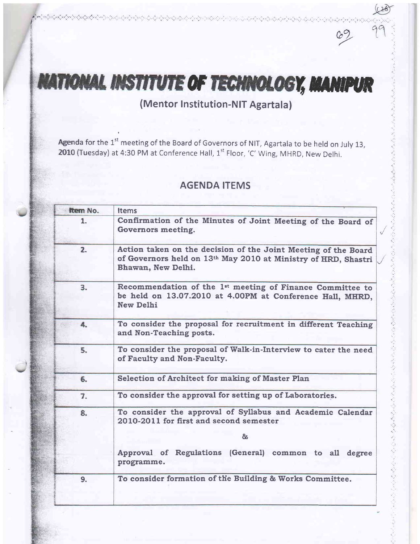# **NATIONAL INSTITUTE OF TECHNOLOGY, MANIPUR**

\*i. -. .:.\*:.r,','>,(x.c \*.)-.;, .) -.'.:..:.

f

 $69$ 

むさくぐう つうぐう うちん うくうぐう やくやく うちゅうし

**Agenda for the**  $1^{st}$  **meeting of the Board of Governors of NIT, Agartala to be held on July 13, 2010 (Tuesday) at 4:30 PM at Conference Hall, 1<sup>st</sup> Floor, 'C' Wing, MHRD, New Delhi**.

## AGENDA ITEMS

| Item No. | <b>Items</b>                                                                                                                                           |  |
|----------|--------------------------------------------------------------------------------------------------------------------------------------------------------|--|
| 1.       | Confirmation of the Minutes of Joint Meeting of the Board of<br>Governors meeting.                                                                     |  |
| 2.       | Action taken on the decision of the Joint Meeting of the Board<br>of Governors held on 13th May 2010 at Ministry of HRD, Shastri<br>Bhawan, New Delhi. |  |
| 3.       | Recommendation of the 1 <sup>st</sup> meeting of Finance Committee to<br>be held on 13.07.2010 at 4.00PM at Conference Hall, MHRD,<br><b>New Delhi</b> |  |
| 4.       | To consider the proposal for recruitment in different Teaching<br>and Non-Teaching posts.                                                              |  |
| 5.       | To consider the proposal of Walk-in-Interview to cater the need<br>of Faculty and Non-Faculty.                                                         |  |
| 6.       | Selection of Architect for making of Master Plan                                                                                                       |  |
| 7.       | To consider the approval for setting up of Laboratories.                                                                                               |  |
| 8.       | To consider the approval of Syllabus and Academic Calendar<br>2010-2011 for first and second semester<br>රිත                                           |  |
|          | Approval of Regulations (General) common to all<br>degree<br>programme.                                                                                |  |
| 9.       | To consider formation of the Building & Works Committee.                                                                                               |  |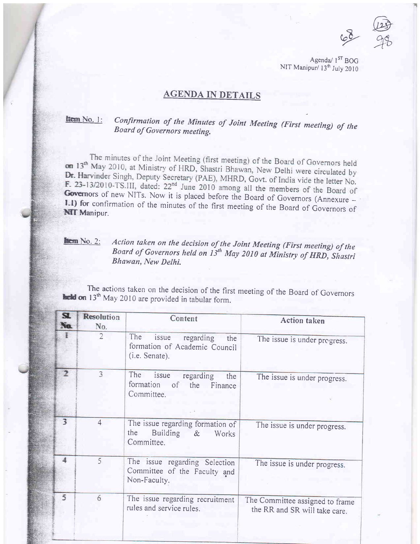$68$ @  $99$ 

Agenda $/$  1<sup>ST</sup> BOG NIT Manipur/ 13<sup>th</sup> July 2010

## AGENDA IN DETAILS

## **htem** No. 1: Confirmation of the Minutes of Joint Meeting (First meeting) of the Board of Governors meeting.

The minutes of the Joint Meeting (first meeting) of the Board of Governors held<br>May 2010, at Ministry of UPD, Shewi Dh. on 13<sup>th</sup> May 2010, at Ministry of HRD, Shastri Bhawan, New Delhi were circulated by<br>Dr. Harvinder Singh Danuty Scentery (DAE), MUDD Q **Dr.** Harvinder Singh, Deputy Secretary (PAE), MHRD, Govt. of India vide the letter No. **F. 23-13/2010-TS. III, dated:**  $22^{nd}$  June 2010 among all the members of the Board of Governors of new NITs. Now it is placed before the Board of Governors (Annexure - **I-t) for** confirmation of the minutes of the first

# **Exam No. 2:** Action taken on the decision of the Joint Meeting (First meeting) of the Board of Governors held on  $13^{th}$  May 2010 at Ministry of HRD, Shastri Bhawan, New Delhi.

The actions taken on the decision of the first meeting of the Board of Governors the decision 13<sup>th</sup> May 2010 are provided in tabular form.

| $\mathbf{z}$<br>Ne | <b>Resolution</b><br>No. | Content                                                                             | <b>Action</b> taken                                              |
|--------------------|--------------------------|-------------------------------------------------------------------------------------|------------------------------------------------------------------|
|                    | $\overline{2}$           | The<br>issue<br>regarding<br>the<br>formation of Academic Council<br>(i.e. Senate). | The issue is under progress.                                     |
|                    | 3                        | The<br>issue regarding<br>the<br>formation of the Finance<br>Committee.             | The issue is under progress.                                     |
| 3                  | $\overline{4}$           | The issue regarding formation of<br>the<br>Building &<br>Works<br>Committee.        | The issue is under progress.                                     |
|                    | 5                        | The issue regarding Selection<br>Committee of the Faculty and<br>Non-Faculty.       | The issue is under progress.                                     |
| 5                  | 6                        | The issue regarding recruitment<br>rules and service rules.                         | The Committee assigned to frame<br>the RR and SR will take care. |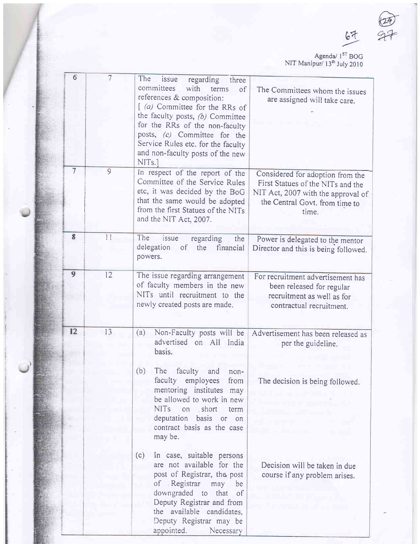$67$ 

 $-27$ 

Agenda/ 1<sup>st</sup> BOG NIT Manipur/ 13<sup>th</sup> July 2010

| $6\overline{6}$ | $\overline{7}$ | The<br>issue<br>regarding<br>three<br>committees<br>with<br>terms<br>of<br>references & composition:<br>[(a) Committee for the RRs of<br>the faculty posts, $(b)$ Committee<br>for the RRs of the non-faculty<br>posts, (c) Committee for the<br>Service Rules etc. for the faculty<br>and non-faculty posts of the new<br>NIT <sub>s.</sub>        | The Committees whom the issues<br>are assigned will take care.                                                                                         |
|-----------------|----------------|-----------------------------------------------------------------------------------------------------------------------------------------------------------------------------------------------------------------------------------------------------------------------------------------------------------------------------------------------------|--------------------------------------------------------------------------------------------------------------------------------------------------------|
| $\overline{7}$  | 9              | In respect of the report of the<br>Committee of the Service Rules<br>etc, it was decided by the BoG<br>that the same would be adopted<br>from the first Statues of the NITs<br>and the NIT Act, 2007.                                                                                                                                               | Considered for adoption from the<br>First Statues of the NITs and the<br>NIT Act, 2007 with the approval of<br>the Central Govt. from time to<br>time. |
| 8               | 11             | The<br>issue<br>regarding<br>the<br>delegation<br><sub>of</sub><br>the<br>financial<br>powers.                                                                                                                                                                                                                                                      | Power is delegated to the mentor<br>Director and this is being followed.                                                                               |
| $\overline{9}$  | 12             | The issue regarding arrangement<br>of faculty members in the new<br>NITs until recruitment to the<br>newly created posts are made.                                                                                                                                                                                                                  | For recruitment advertisement has<br>been released for regular<br>recruitment as well as for<br>contractual recruitment.                               |
| 12              | 13             | (a)<br>Non-Faculty posts will be<br>advertised on All India<br>basis.<br>(b)<br>The faculty<br>and<br>non-<br>faculty employees<br>from<br>mentoring institutes may<br>be allowed to work in new<br><b>NITs</b><br>on short<br>term<br>deputation<br>basis<br>or<br>on<br>contract basis as the case<br>may be.<br>(c)<br>In case, suitable persons | Advertisement has been released as<br>per the guideline.<br>The decision is being followed.                                                            |
|                 |                | are not available for the<br>post of Registrar, the post<br>of Registrar<br>may be<br>downgraded to<br>that<br>$\circ$ of<br>Deputy Registrar and from<br>the available candidates,<br>Deputy Registrar may be<br>appointed.<br>Necessary                                                                                                           | Decision will be taken in due<br>course if any problem arises.                                                                                         |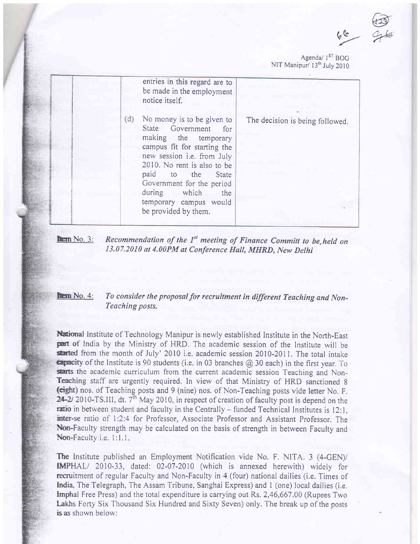@  $rac{60}{x}$ 

Agenda $/$  1<sup>ST</sup> BOG NIT Manipur/ 13<sup>th</sup> July 2010

|     | entries in this regard are to<br>be made in the employment<br>notice itself.                                                                                                                                                                                                                         |                                 |
|-----|------------------------------------------------------------------------------------------------------------------------------------------------------------------------------------------------------------------------------------------------------------------------------------------------------|---------------------------------|
| (d) | No money is to be given to<br>State Government for<br>making the temporary<br>campus fit for starting the<br>new session i.e. from July<br>2010. No rent is also to be<br>paid to the<br>State<br>Government for the period<br>during which<br>the<br>temporary campus would<br>be provided by them. | The decision is being followed. |

| $km$ No. 3: | Recommendation of the 1 <sup>st</sup> meeting of Finance Committ to be held on |
|-------------|--------------------------------------------------------------------------------|
|             | 13.07.2010 at 4.00PM at Conference Hall, MHRD, New Delhi                       |

## **them** No. 4: To consider the proposal for recruitment in different Teaching and Non-Teaching posts.

National Institute of Technology Manipur is newly established Institute in the North-East<br>part of India by the Ministry of HRD. The academic session of the Institute will be started from the month of July' 2010 i.e. academic session 2010-2011. The total intake  $\epsilon$ apacity of the Institute is 90 students (i.e. in 03 branches  $\omega$  30 each) in the first year. To starts the academic curriculum from the current academic session Teaching and Non-Teaching staff are urgently required. In view of that Ministry of HRD sanctioned <sup>8</sup> (eight) nos. of Teaching posts and 9 (nine) nos. of Non-Teaching posts vide letter No. F. 24-2/2010-TS.III, dt.  $7<sup>th</sup>$  May 2010, in respect of creation of faculty post is depend on the  $\tau$ atio in between student and faculty in the Centrally – funded Technical Institutes is 12:1, inter-se ratio of 1:2:4 for Professor, Associate Professor and Assistant Professor. The Non-Faculty strength may be calculated on the basis of strength in between Faculty and Non-Faculty i.e. 1:1.1.

The Institute published an Employment Notification vide No. F. NITA. 3 (4-GEN)/ IMPHAL/ 2010-33, dated: 02-07-2010 (which is annexed herewith) widely for recruitment of regular Faculty and Non-Faculty in 4 (four) national dailies (i.e. Times of India, The Telegraph, The Assam Tribune, Sanghai Express) and 1 (one) local dailies (i.e. **Imphal Free Press) and the total expenditure is carrying out Rs. 2,46,667.00 (Rupees Two** Lakhs Forty Six Thousand Six Hundred and Sixty Seven) only. The break up of the posts is as shown below: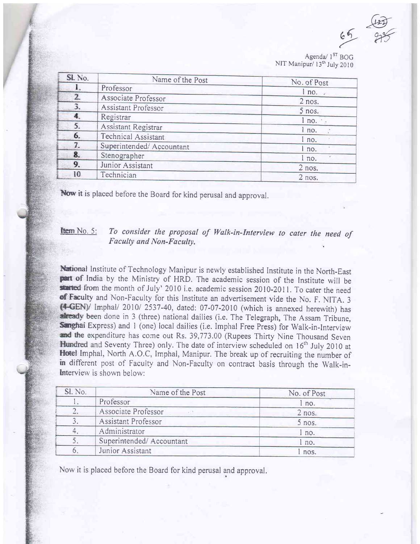$\frac{\sqrt{127}}{2}$  $65$  975

Agenda/  $1^{ST}$  BOG NIT Manipur/ 13<sup>th</sup> July 2010

| SL No. | Name of the Post         | No. of Post |
|--------|--------------------------|-------------|
|        | Professor                | 1 no.       |
| 2      | Associate Professor      | $2$ nos.    |
| 3.     | Assistant Professor      | $5$ nos.    |
| 4.     | Registrar                | 1 no.       |
| 5.     | Assistant Registrar      | l no.       |
| 6.     | Technical Assistant      | l no.       |
| 7.     | Superintended/Accountant | l no.       |
| 8.     | Stenographer             | l no.       |
| 9.     | Junior Assistant         | $2$ nos.    |
| 10     | Technician               | $2$ nos.    |

Now it is placed before the Board for kind perusal and approval.

## **tem** No. 5: To consider the proposal of Walk-in-Interview to cater the need of Faculty and Non-Faculty.

National Institute of Technology Manipur is newly established Institute in the North-East part of India by the Ministry of HRD. The academic session of the Institute will be started from the month of July' 2010 i.e. academ phal/ 20101 2537-40, dated: 07-07-2010 (which is annexed herewith) has already been done in 3 (three) national dailies (i.e. The Telegraph, The Assam Tribune, Sanghai Express) and 1 (one) local dailies (i.e. Imphal Free Press) for Walk-in-Interview and the expenditure has come out Rs. 39,773.00 (Rupees Thirty Nine Thousand Seven<br>Hundred and Seventy Three) only. The date of interview scheduled on 16<sup>th</sup> July 2010 at<br>Hotel Imphal, North A.O.C, Imphal, Manipur. The brea in different post of Faculty and Non-Faculty on contract basis through the Walk-in-Interview is shown below:

| Sl. No. | Name of the Post         | No. of Post |
|---------|--------------------------|-------------|
|         | Professor                | l no.       |
|         | Associate Professor      | $2$ nos.    |
|         | Assistant Professor      | 5 nos.      |
|         | Administrator            | I no.       |
|         | Superintended/Accountant | l no.       |
|         | Junior Assistant         | nos.        |

Now it is placed before the Board for kind perusal and approval.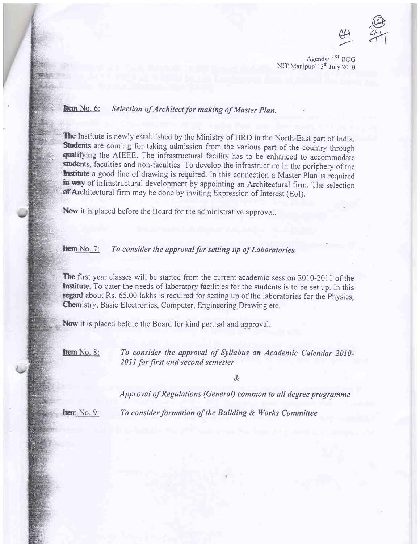$\bigoplus$  $\frac{128}{74}$ 

 $\leftarrow$ 

Agenda/ 1<sup>ST</sup> BOG NIT Manipur/ 13<sup>th</sup> July 2010

### **ftem** No. 6: Selection of Architect for making of Master Plan.

The Institute is newly established by the Ministry of HRD in the North-East part of India. Students are coming for taking admission from the various part of the country through qualifying the AIEEE. The infrastructural facility has to be enhanced to accommodate students, faculties and non-faculties. To develop the infrastructure in the periphery of the Institute a good line of drawing is required. In this connection a Master Plan is required in way of infrastructural development by appointing an Architectural firm. The selection of Architectural firm may be done by inviting Expression of Interest (EoI).

Now it is placed before the Board for the administrative approval.

## **Hem** No. 7: To consider the approval for setting up of Laboratories.

The first year classes will be started from the current academic session 2010-2011 of the **Institute.** To cater the needs of laboratory facilities for the students is to be set up. In this regard about Rs. 65.00 lakhs is required for setting up of the laboratories for the Physics, Chemistry, Basic Electronics, Computer, Engineering Drawing etc.

Now it is placed before the Board for kind perusal and approval.

**ftem** No. 8: To consider the approval of Syllabus an Academic Calendar 2010-2011 for first and second semester

&

Approval of Regulations (General) common to all degree programme

**Item** No. 9: To consider formation of the Building  $\&$  Works Committee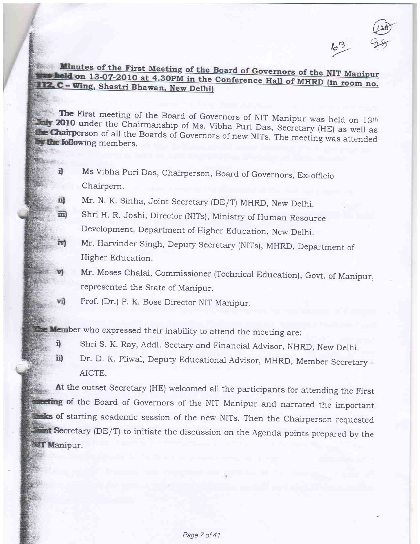$\omega$  $63 - 98$ 

## **Example 13-07-2010** at 4.30PM in the Conference Hall of MHRD (in room no. 112. C – Wing, Shastri Bhawan, New Delhi)

The First meeting of the Board of Governors of NIT Manipur was held on 13th 2010 under the Chairmanship of Ms. Vibha Puri Das, Secretary (HE) as well as **Chairperson** of all the Boards of Governors of new NITs. The meeting

- $\vec{v}$ Ms Vibha Puri Das, Chairperson, Board of Governors, Ex-officio Chairpern.
- Mr. N. K. sinha, Joint secretary (DE/T) MHRD, New Delhi. 司
- shri H. R. Joshi, Director (NITs), Ministry of Human Resource 面 Development, Department of Higher Education, New Delhi.
- Mr. Harvinder Singh, Deputy Secretary (NITs), MHRD, Department of ia) Higher Education.
- Mr. Moses Chalai, Commissioner (Technical Education), Govt. of Manipur, represented the State of Manipur.
- Prof. (Dr.) P. K. Bose Director NIT Manipur. vi)

**Memb**er who expressed their inability to attend the meeting are:

- 4 shri s. K. Ray, Addl. Sectary and Financial Advisor, NHRD, New Delhi.
- ii) Dr. D. K. Pliwal, Deputy Educational Advisor, MHRD, Member Secretary -AICTE.

At the outset Secretary (HE) welcomed ali the participants for attending the First **of the Board of Governors of the NIT Manipur and narrated the important** sf starting academic session of the new NITs. Then the Chairperson requested Secretary (DE/T) to initiate the discussion on the Agenda points prepared by the **WET Manipur.**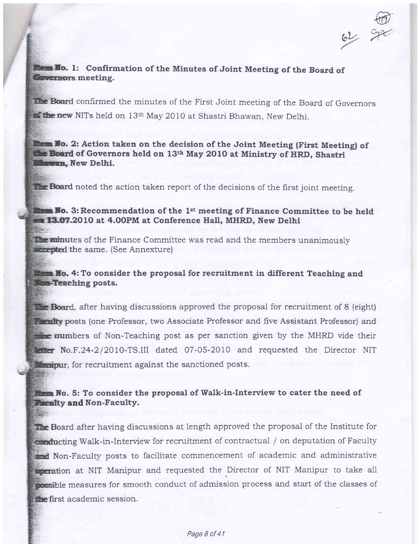$62$ @ ya

## From Ho. 1: Confirmation of the Minutes of Joint Meeting of the Board of **Covernors** meeting.

confirmed the minutes of the First Joint meeting of the Board of Governors new NITs held on 13<sup>th</sup> May 2010 at Shastri Bhawan, New Delhi.

Ho. 2: Action taken on the decision of the Joint Meeting (First Meeting) of of Governors held on  $13^{\text{th}}$  May 2010 at Ministry of HRD, Shastri **Ilewish.** New Delhi.

**The Board** noted the action taken report of the decisions of the first joint meeting.

## **illows** Fo. 3: Recommendation of the 1<sup>st</sup> meeting of Finance Committee to be held **13.07.**2010 at 4.00PM at Conference Hall, MHRD, New Delhi

 $\dot{m}$ nutes of the Finance Committee was read and the members unanimously the same. (See Annexfure)

## **From No.** 4: To consider the proposal for recruitment in different Teaching and **Sept-Teaching posts.**

**Example Board**, after having discussions approved the proposal for recruitment of 8 (eight) **Pornity posts (one Professor, two Associate Professor and five Assistant Professor) and EXECUTE:** numbers of Non-Teaching post as per sanction given by the MHRD vide their No.F.24-2/2010-TS.III dated 07-05-2010 and requested the Director NIT **Manipur**, for recruitment against the sanctioned posts.

## No. 5: To consider the proposal of Walk-in-Interview to cater the need of and Non-Faculty.

The Board after having discussions at length approved the proposal of the Institute for **inducting Walk-in-Interview for recruitment of contractual / on deputation of Faculty** and Non-Faculty posts to facilitate commencement of academic and administrative **incration** at NIT Manipur and requested the Director of NIT Manipur to take all **possible measures for smooth conduct of admission process and start of the classes of the first academic session.**